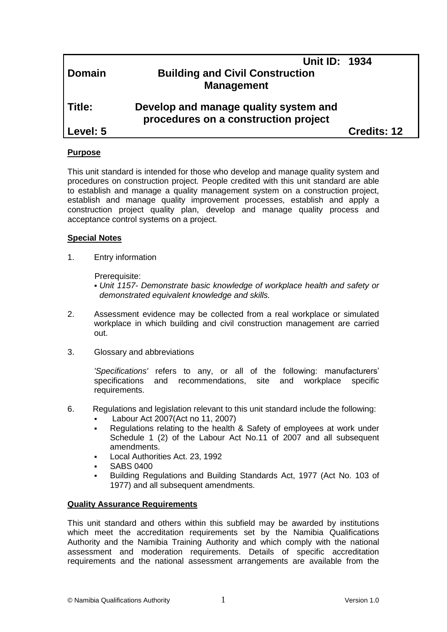| <b>Domain</b> | Unit ID: 1934<br><b>Building and Civil Construction</b><br><b>Management</b>  |                    |
|---------------|-------------------------------------------------------------------------------|--------------------|
| l Title:      | Develop and manage quality system and<br>procedures on a construction project |                    |
| Level: 5      |                                                                               | <b>Credits: 12</b> |
|               |                                                                               |                    |

# **Purpose**

This unit standard is intended for those who develop and manage quality system and procedures on construction project. People credited with this unit standard are able to establish and manage a quality management system on a construction project, establish and manage quality improvement processes, establish and apply a construction project quality plan, develop and manage quality process and acceptance control systems on a project.

#### **Special Notes**

1. Entry information

Prerequisite:

- *Unit 1157- Demonstrate basic knowledge of workplace health and safety or demonstrated equivalent knowledge and skills.*
- 2. Assessment evidence may be collected from a real workplace or simulated workplace in which building and civil construction management are carried out.
- 3. Glossary and abbreviations

*'Specifications'* refers to any, or all of the following: manufacturers' specifications and recommendations, site and workplace specific requirements.

- 6. Regulations and legislation relevant to this unit standard include the following: Labour Act 2007(Act no 11, 2007)
	- Regulations relating to the health & Safety of employees at work under Schedule 1 (2) of the Labour Act No.11 of 2007 and all subsequent amendments.
	- Local Authorities Act. 23, 1992
	- SABS 0400
	- Building Regulations and Building Standards Act, 1977 (Act No. 103 of 1977) and all subsequent amendments.

# **Quality Assurance Requirements**

This unit standard and others within this subfield may be awarded by institutions which meet the accreditation requirements set by the Namibia Qualifications Authority and the Namibia Training Authority and which comply with the national assessment and moderation requirements. Details of specific accreditation requirements and the national assessment arrangements are available from the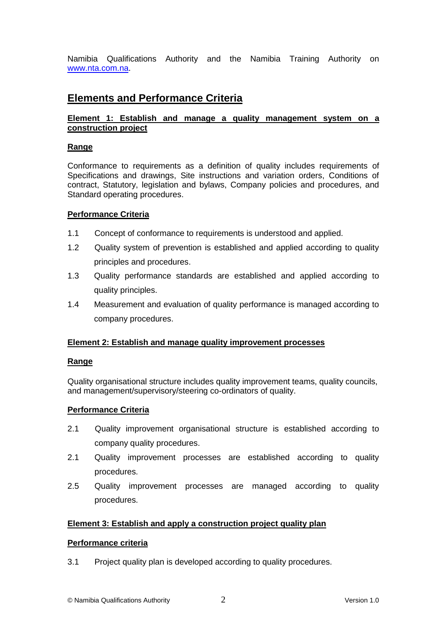Namibia Qualifications Authority and the Namibia Training Authority on [www.nta.com.na.](http://www.nta.com.na/)

# **Elements and Performance Criteria**

# **Element 1: Establish and manage a quality management system on a construction project**

#### **Range**

Conformance to requirements as a definition of quality includes requirements of Specifications and drawings, Site instructions and variation orders, Conditions of contract, Statutory, legislation and bylaws, Company policies and procedures, and Standard operating procedures.

#### **Performance Criteria**

- 1.1 Concept of conformance to requirements is understood and applied.
- 1.2 Quality system of prevention is established and applied according to quality principles and procedures.
- 1.3 Quality performance standards are established and applied according to quality principles.
- 1.4 Measurement and evaluation of quality performance is managed according to company procedures.

# **Element 2: Establish and manage quality improvement processes**

#### **Range**

Quality organisational structure includes quality improvement teams, quality councils, and management/supervisory/steering co-ordinators of quality.

#### **Performance Criteria**

- 2.1 Quality improvement organisational structure is established according to company quality procedures.
- 2.1 Quality improvement processes are established according to quality procedures.
- 2.5 Quality improvement processes are managed according to quality procedures.

# **Element 3: Establish and apply a construction project quality plan**

#### **Performance criteria**

3.1 Project quality plan is developed according to quality procedures.